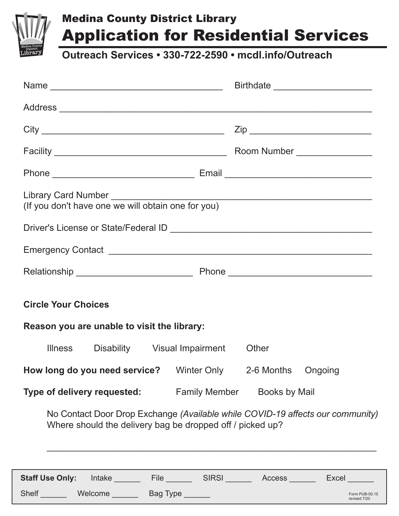

## Medina County District Library Application for Residential Services

**Outreach Services • 330-722-2590 • mcdl.info/Outreach**

|                                             |                            |                                                    |  | Name                                                      |                                                                                                                                                                                                                                |                                                                                    |  |  |
|---------------------------------------------|----------------------------|----------------------------------------------------|--|-----------------------------------------------------------|--------------------------------------------------------------------------------------------------------------------------------------------------------------------------------------------------------------------------------|------------------------------------------------------------------------------------|--|--|
|                                             |                            |                                                    |  |                                                           |                                                                                                                                                                                                                                |                                                                                    |  |  |
|                                             |                            |                                                    |  |                                                           |                                                                                                                                                                                                                                |                                                                                    |  |  |
|                                             |                            |                                                    |  |                                                           |                                                                                                                                                                                                                                |                                                                                    |  |  |
|                                             |                            |                                                    |  |                                                           |                                                                                                                                                                                                                                |                                                                                    |  |  |
|                                             |                            | (If you don't have one we will obtain one for you) |  |                                                           |                                                                                                                                                                                                                                |                                                                                    |  |  |
|                                             |                            |                                                    |  |                                                           |                                                                                                                                                                                                                                |                                                                                    |  |  |
|                                             |                            |                                                    |  |                                                           |                                                                                                                                                                                                                                |                                                                                    |  |  |
|                                             |                            |                                                    |  |                                                           |                                                                                                                                                                                                                                |                                                                                    |  |  |
|                                             | <b>Circle Your Choices</b> |                                                    |  |                                                           |                                                                                                                                                                                                                                |                                                                                    |  |  |
| Reason you are unable to visit the library: |                            |                                                    |  |                                                           |                                                                                                                                                                                                                                |                                                                                    |  |  |
|                                             |                            |                                                    |  | Illness Disability Visual Impairment Other                |                                                                                                                                                                                                                                |                                                                                    |  |  |
|                                             |                            |                                                    |  |                                                           | <b>How long do you need service?</b> Winter Only 2-6 Months Ongoing                                                                                                                                                            |                                                                                    |  |  |
|                                             |                            |                                                    |  |                                                           | <b>Type of delivery requested:</b> Family Member Books by Mail                                                                                                                                                                 |                                                                                    |  |  |
|                                             |                            |                                                    |  | Where should the delivery bag be dropped off / picked up? |                                                                                                                                                                                                                                | No Contact Door Drop Exchange (Available while COVID-19 affects our community)     |  |  |
|                                             |                            |                                                    |  |                                                           |                                                                                                                                                                                                                                | Staff Use Only: Intake _______ File ______ SIRSI ______ Access ______ Excel ______ |  |  |
|                                             |                            |                                                    |  |                                                           | Shelf Welcome Bag Type News Contract of the Shelf News And Shelf News Age of the Shelf News Age of the Shelf News Age of the Shelf News Age of the Shelf News Age of the Shelf News Age of the Shelf News Age of the Shelf New | Form PUB-00.15<br>revised 7/20                                                     |  |  |